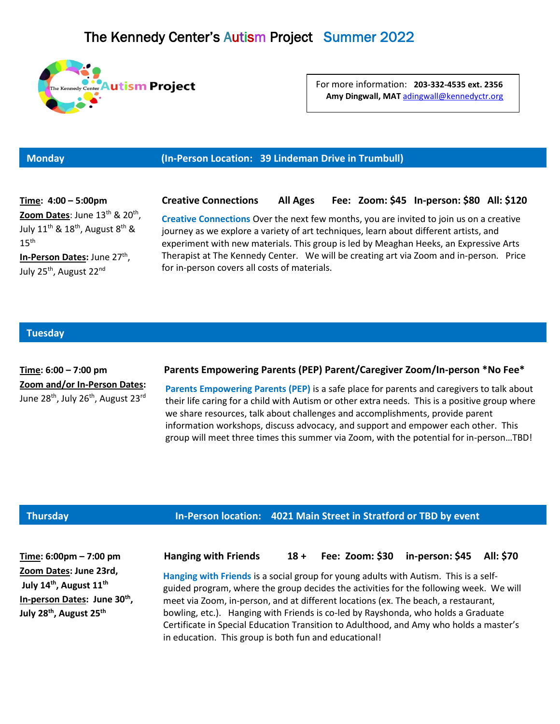

For more information: **203-332-4535 ext. 2356 Amy Dingwall, MAT** [adingwall@kennedyctr.org](mailto:adingwall@kennedyctr.org)

# **Monday (In-Person Location: 39 Lindeman Drive in Trumbull)**

**Time: 4:00 – 5:00pm Creative Connections All Ages Fee: Zoom: \$45 In-person: \$80 All: \$120 Zoom Dates**: June 13<sup>th</sup> & 20<sup>th</sup>, July 11<sup>th</sup> & 18<sup>th</sup>, August 8<sup>th</sup> &  $15<sup>th</sup>$ **In-Person Dates:** June 27<sup>th</sup>, July 25<sup>th</sup>, August 22<sup>nd</sup>

**Creative Connections** Over the next few months, you are invited to join us on a creative journey as we explore a variety of art techniques, learn about different artists, and experiment with new materials. This group is led by Meaghan Heeks, an Expressive Arts Therapist at The Kennedy Center. We will be creating art via Zoom and in-person. Price for in-person covers all costs of materials.

## **Tuesday**

**Zoom and/or In-Person Dates:** June  $28^{th}$ , July  $26^{th}$ , August  $23^{rd}$ 

## **Time: 6:00 – 7:00 pm Parents Empowering Parents (PEP) Parent/Caregiver Zoom/In-person \*No Fee\***

**Parents Empowering Parents (PEP)** is a safe place for parents and caregivers to talk about their life caring for a child with Autism or other extra needs. This is a positive group where we share resources, talk about challenges and accomplishments, provide parent information workshops, discuss advocacy, and support and empower each other. This group will meet three times this summer via Zoom, with the potential for in-person…TBD!

## **Thursday In-Person location: 4021 Main Street in Stratford or TBD by event**

**Zoom Dates: June 23rd, July 14th, August 11th In-person Dates: June 30th , July 28th, August 25th**

**Time: 6:00pm – 7:00 pm Hanging with Friends 18 + Fee: Zoom: \$30 in-person: \$45 All: \$70**

**Hanging with Friends** is a social group for young adults with Autism. This is a selfguided program, where the group decides the activities for the following week. We will meet via Zoom, in-person, and at different locations (ex. The beach, a restaurant, bowling, etc.). Hanging with Friends is co-led by Rayshonda, who holds a Graduate Certificate in Special Education Transition to Adulthood, and Amy who holds a master's in education. This group is both fun and educational!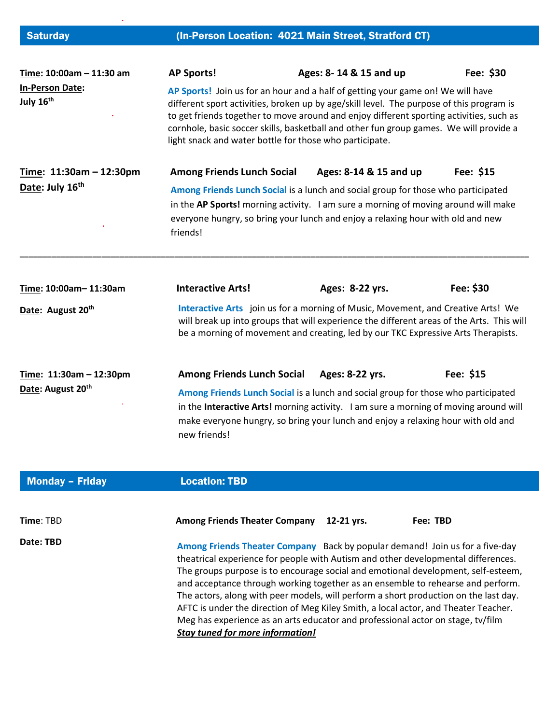| <b>Saturday</b>                                          | (In-Person Location: 4021 Main Street, Stratford CT)                                                                                                                                                                                                                                                                                                                                                                        |                        |                        |           |  |
|----------------------------------------------------------|-----------------------------------------------------------------------------------------------------------------------------------------------------------------------------------------------------------------------------------------------------------------------------------------------------------------------------------------------------------------------------------------------------------------------------|------------------------|------------------------|-----------|--|
| Time: 10:00am - 11:30 am                                 | <b>AP Sports!</b>                                                                                                                                                                                                                                                                                                                                                                                                           | Ages: 8-14 & 15 and up |                        | Fee: \$30 |  |
| <b>In-Person Date:</b><br>July 16 <sup>th</sup>          | AP Sports! Join us for an hour and a half of getting your game on! We will have<br>different sport activities, broken up by age/skill level. The purpose of this program is<br>to get friends together to move around and enjoy different sporting activities, such as<br>cornhole, basic soccer skills, basketball and other fun group games. We will provide a<br>light snack and water bottle for those who participate. |                        |                        |           |  |
| Time: $11:30am - 12:30pm$<br>Date: July 16 <sup>th</sup> | <b>Among Friends Lunch Social</b>                                                                                                                                                                                                                                                                                                                                                                                           |                        | Ages: 8-14 & 15 and up | Fee: \$15 |  |
|                                                          | Among Friends Lunch Social is a lunch and social group for those who participated                                                                                                                                                                                                                                                                                                                                           |                        |                        |           |  |

in the **AP Sports!** morning activity. I am sure a morning of moving around will make everyone hungry, so bring your lunch and enjoy a relaxing hour with old and new friends!

| Time: 10:00am-11:30am   | <b>Interactive Arts!</b>                                                                                                                                                                                                                                                      | Ages: 8-22 yrs. | Fee: \$30  |
|-------------------------|-------------------------------------------------------------------------------------------------------------------------------------------------------------------------------------------------------------------------------------------------------------------------------|-----------------|------------|
| Date: August 20th       | Interactive Arts join us for a morning of Music, Movement, and Creative Arts! We<br>will break up into groups that will experience the different areas of the Arts. This will<br>be a morning of movement and creating, led by our TKC Expressive Arts Therapists.            |                 |            |
| Time: 11:30am - 12:30pm | <b>Among Friends Lunch Social</b>                                                                                                                                                                                                                                             | Ages: 8-22 yrs. | Fee: $$15$ |
| Date: August 20th       | Among Friends Lunch Social is a lunch and social group for those who participated<br>in the Interactive Arts! morning activity. I am sure a morning of moving around will<br>make everyone hungry, so bring your lunch and enjoy a relaxing hour with old and<br>new friends! |                 |            |

**\_\_\_\_\_\_\_\_\_\_\_\_\_\_\_\_\_\_\_\_\_\_\_\_\_\_\_\_\_\_\_\_\_\_\_\_\_\_\_\_\_\_\_\_\_\_\_\_\_\_\_\_\_\_\_\_\_\_\_\_\_\_\_\_\_\_\_\_\_\_\_\_\_\_\_\_\_\_\_\_\_\_\_\_\_\_\_\_\_\_\_\_\_\_\_\_\_\_\_\_\_\_\_\_\_\_\_\_\_\_\_\_**

| Monday - Friday  | <b>Location: TBD</b>                                                                                                                                                                                                                                                                                                                                                                                                                                                                                                                                                                                                                                   |
|------------------|--------------------------------------------------------------------------------------------------------------------------------------------------------------------------------------------------------------------------------------------------------------------------------------------------------------------------------------------------------------------------------------------------------------------------------------------------------------------------------------------------------------------------------------------------------------------------------------------------------------------------------------------------------|
|                  |                                                                                                                                                                                                                                                                                                                                                                                                                                                                                                                                                                                                                                                        |
| <b>Time: TBD</b> | <b>Among Friends Theater Company</b><br>12-21 vrs.<br>Fee: TBD                                                                                                                                                                                                                                                                                                                                                                                                                                                                                                                                                                                         |
| Date: TBD        | Among Friends Theater Company Back by popular demand! Join us for a five-day<br>theatrical experience for people with Autism and other developmental differences.<br>The groups purpose is to encourage social and emotional development, self-esteem,<br>and acceptance through working together as an ensemble to rehearse and perform.<br>The actors, along with peer models, will perform a short production on the last day.<br>AFTC is under the direction of Meg Kiley Smith, a local actor, and Theater Teacher.<br>Meg has experience as an arts educator and professional actor on stage, tv/film<br><b>Stay tuned for more information!</b> |